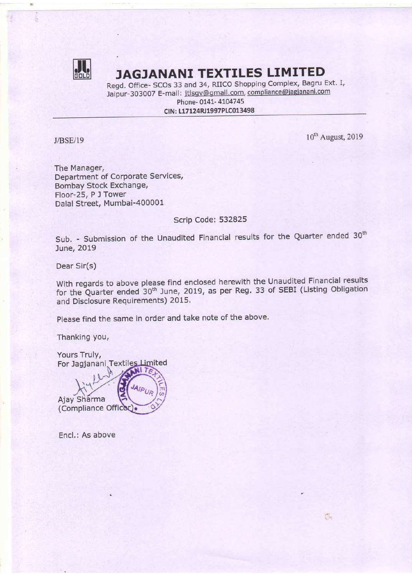

该

### **ALL**: JAGJANANI TEXTILES LIMITED

Regd. Office- SCOs <sup>33</sup> and 34, RIICO Shopping Complex, Bagru Ext. 1, Jaipur-303007 E-mail: jtlsgv@gmail.com, compliance@jagjanani.com Phone- 0141- 4104745

CIN: L17124RJ1997PLC013498

 $J/BSE/19$  10<sup>th</sup> August, 2019

 $\sim$ 

The Manager, Department of Corporate Services, Bombay Stock Exchange, Floor-25, <sup>P</sup> <sup>J</sup> Tower Dalal Street, Mumbai-400001

Scrip Code: 532825

Sub. - Submission of the Unaudited Financial results for the Quarter ended  $30<sup>th</sup>$ June, 2019

Dear Sir(s)

With regards to above please find enclosed herewith the Unaudited Financial results for the Quarter ended 30<sup>th</sup> June, 2019, as per Reg. 33 of SEBI (Listing Obligation and Disclosure Requirements) 2015.

Please find the same in order and take note of the above.

Thanking you,

Yours Truly, For Jagjanani Textiles Limited

Ajay Sharma (Compliance Officer)

Encl.: As above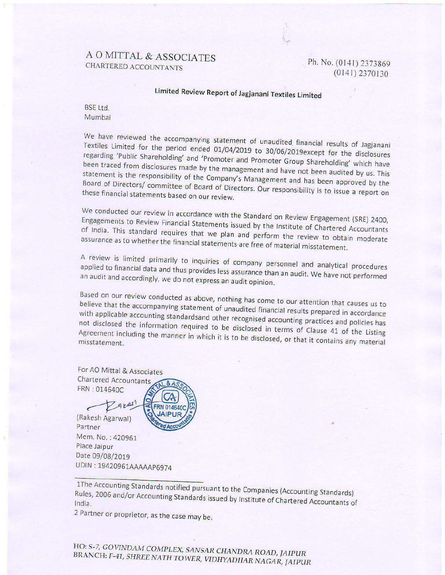# A O MITTAL & ASSOCIATES<br>CHARTERED ACCOUNTANTS

(014|)2370]30

## Limited Review Report of Jagjanani Textiles Limited

BSE Ltd. Mumbai

We have reviewed the accompanying statement of unaudited financial results of Jagjanani Textiles Limited for the period ended 01/04/2019 to 30/06/2019except for the disclosures regarding 'Public Shareholding' and 'Promoter and Promoter Group Shareholding' which have Shareholding' and 'Promoter and Promoter Group Shareholding' which have from disclosures made by the management and have not been audited by us. This the responsibility of the Company's Manuson of the strategy of the Compa been traced these financial statements based on our review.

We conducted our review in accordance with the Standard on Review Engagement (SRE) 2400, of India. This standard Engagements to Review Financial Statements issued by the Institute of Chartered Accountants or mula. This standard requires that we plan and perform the review to obtain moderate<br>assurance as to whether the financial statements are free of material misstatement.

A review is limited primarily to inquiries of company personnel and analytical procedures an audit and accordingly, we do not express an audit opinion. applied to financial data and thus provides less assurance than an audit. We have not performed

Based on our review conducted as above, nothing has come to our attention that causes us to believe that the accompanying statement of unaudited financial system is believe that the accompanying statement of unaudited financial results prepared in accordance<br>with applicable accounting standards and other recognised with applicable accounting statement of unaudited financial results prepared in accordance<br>not disclosed the information required to be disclosed in the magnetic and policies has not disclosed the information required to be disclosed in terms of Clause 41 of the Listing<br>Agreement including the manner in which it is to be disclosed in terms of Clause 41 of the Listing Agreement including the manner in which it is to be disclosed, or that it contains any material

For AO Mittal & Associates Chartered Accountants FRN : 014640C

gres

(Rakesh Agarwalj Partner Mem. No.: 420961 Place Jaipur Date 09/08/2019 UDIN:19420961AAAAAP6974

<sup>2</sup> Partner or proprietor, as the case may be.

#### HO: S-7, GOVINDAM COMPLEX, SANSAR CHANDRA ROAD, JAIPUR BRANCH: 5-7, GOVINDAM COMPLEX, SANSAR CHANDRA ROAD, JAIPUR<br>NCH: F-41, SHREE NATH TOWER, VIDHYADHAR NAGAR, JAIPUR

<sup>1</sup>The Accounting Standards notified pursuant to the Companies (Accounting Standards) Rules, 2006 and/or Accounting Standards issued by Institute of Chartered Accountants of<br>India.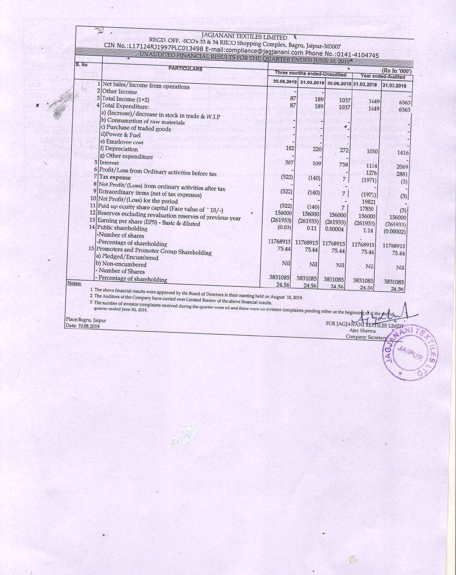$\mathbb{Z}$  .

### **IAGIANANT**

| S. No              | <b>PARTICULARS</b>                                                                                                                                                                                                | (Rs In '000')<br>Three months ended-Unaudited<br>Year ended-Audited |          |                                  |                               |            |
|--------------------|-------------------------------------------------------------------------------------------------------------------------------------------------------------------------------------------------------------------|---------------------------------------------------------------------|----------|----------------------------------|-------------------------------|------------|
|                    |                                                                                                                                                                                                                   | 30.06.2019                                                          |          | 31.03.2019 30.06.2018 31.03.2019 |                               |            |
| Sü.                | 1 Net Sales/Income from operations<br>2 Other Income                                                                                                                                                              |                                                                     |          |                                  |                               | 31.03.2018 |
| 3                  | Total Income (1+2)                                                                                                                                                                                                | 87                                                                  |          |                                  |                               |            |
|                    | Total Expenditure:                                                                                                                                                                                                | 87                                                                  | 189      | 1037                             | 1449                          | 6363       |
|                    |                                                                                                                                                                                                                   |                                                                     | 189      | 1037                             | 1449                          | 6363       |
|                    | a) (Increase)/decrease in stock in trade & W.I.P                                                                                                                                                                  |                                                                     |          |                                  |                               |            |
|                    | b) Consumption of raw materials                                                                                                                                                                                   |                                                                     |          |                                  |                               |            |
|                    | c) Purchase of traded goods                                                                                                                                                                                       |                                                                     |          |                                  |                               |            |
|                    | d)Power & Fuel                                                                                                                                                                                                    |                                                                     |          |                                  |                               |            |
|                    | e) Employee cost                                                                                                                                                                                                  |                                                                     |          |                                  |                               |            |
|                    | f) Depreciation                                                                                                                                                                                                   | 102                                                                 | 220      | 272                              | 1030                          | 1416       |
|                    | g) Other expenditure                                                                                                                                                                                              |                                                                     |          |                                  |                               |            |
|                    | 5 Interest                                                                                                                                                                                                        | 507                                                                 | 109      | 758                              | 1114                          | 2069       |
|                    | 6 Profit/Loss from Ordinary activities before tax                                                                                                                                                                 |                                                                     |          |                                  | 1276                          | 2881       |
|                    | Tax expense                                                                                                                                                                                                       | (522)                                                               | (140)    | 7                                | (1971)                        | (3)        |
|                    | 8 Net Profit/(Loss) from ordinary activities after tax                                                                                                                                                            |                                                                     |          |                                  |                               |            |
|                    | 9 Extraordinary items (net of tax expenses)                                                                                                                                                                       | (522)                                                               | (140)    | 7                                | (1971)                        |            |
|                    | 10 Net Profit/(Loss) for the period                                                                                                                                                                               |                                                                     |          |                                  | 19821                         | (3)        |
|                    | 11 Paid up equity share capital (Face value of `10/-)                                                                                                                                                             | (522)                                                               | (140)    | 7                                | 17850                         |            |
|                    | 12 Reserves excluding revaluation reserves of previous year                                                                                                                                                       | 156000                                                              | 156000   | 156000                           | 156000                        | (3)        |
|                    | 13 Earning per share (EPS) - Basic & diluted                                                                                                                                                                      | (261933)                                                            | (261933) | (261933)                         | (261933)                      | 156000     |
|                    | 14 Public shareholding                                                                                                                                                                                            | (0.03)                                                              | 0.11     | 0.00004                          | 1.14                          | (261933)   |
|                    | -Number of shares                                                                                                                                                                                                 |                                                                     |          |                                  |                               | (0.00002)  |
|                    | -Percentage of shareholding                                                                                                                                                                                       | 11768915                                                            | 11768915 | 11768915                         | 11768915                      |            |
|                    | 15 Promoters and Promoter Group Shareholding                                                                                                                                                                      | 75.44                                                               | 75.44    | 75.44                            |                               | 11768915   |
|                    | a) Pledged/Encumbered                                                                                                                                                                                             |                                                                     |          |                                  | 75.44                         | 75.44      |
|                    | b) Non-encumbered                                                                                                                                                                                                 | Nil                                                                 | Nil      | Nil                              |                               |            |
|                    | - Number of Shares                                                                                                                                                                                                |                                                                     |          |                                  | Nil                           | Nil        |
|                    | - Percentage of shareholding                                                                                                                                                                                      | 3831085                                                             | 3831085  | 3831085                          |                               |            |
| Notes:             |                                                                                                                                                                                                                   | 24.56                                                               | 24.56    |                                  | 3831085                       | 3831085    |
|                    |                                                                                                                                                                                                                   |                                                                     |          | 24.56                            | 24.56                         | 24.56      |
|                    | 1 The above financial results were approved by the Board of Directors in their meeting held on August 10, 2019.<br>2 The Auditors of the Company have carried over Limited Review of the above financial results. |                                                                     |          |                                  |                               |            |
|                    | 3 The number of investor complaints received during the quarter were nil and there were no investor complaints pending either at the beginning of at the one of                                                   |                                                                     |          |                                  |                               |            |
|                    |                                                                                                                                                                                                                   |                                                                     |          |                                  |                               |            |
| lace:Bagru, Jaipur |                                                                                                                                                                                                                   |                                                                     |          |                                  |                               |            |
| Jate: 10.08.2019   |                                                                                                                                                                                                                   |                                                                     |          |                                  | FOR JAGJANANI TEXTILES LIMITI |            |

Place:Bagru, Jaipur<br>Date: 10.08.2019

 $\mathcal{C}_2$ 

JAIPUR

AGJ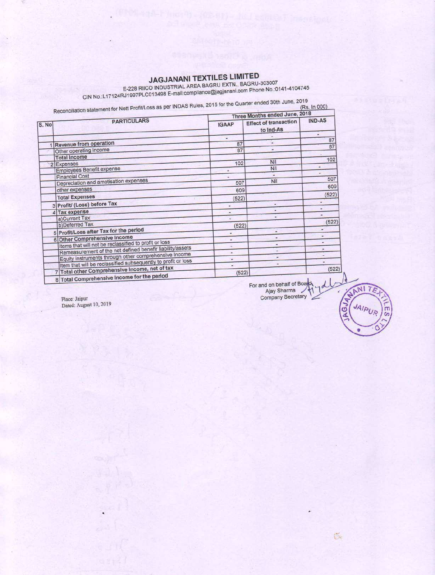JAGJANANI TEXTILES LIMITED<br>E-228 RIICO INDUSTRIAL AREA BAGRU EXTN., BAGRU-303007<br>CIN No.:L17124RJ1997PLC013498 E-mail:compliance@jagjanani.com Phone No.:0141-4104745

|       | Reconciliation statement for Nett Profit/Loss as per INDAS Rules, 2015 for the Quarter ended 30th June, 2019 | Three Months ended June, 2018 |                                           |                |  |
|-------|--------------------------------------------------------------------------------------------------------------|-------------------------------|-------------------------------------------|----------------|--|
| S. No | <b>PARTICULARS</b>                                                                                           | <b>IGAAP</b>                  | <b>Effect of transaction</b><br>to Ind-As | <b>IND-AS</b>  |  |
|       |                                                                                                              | $\overline{\phantom{a}}$      |                                           | 87             |  |
|       | <b>Revenue from operation</b>                                                                                | 87                            |                                           | 87             |  |
|       | Other operating income                                                                                       | 87                            |                                           |                |  |
|       | <b>Total Income</b>                                                                                          |                               |                                           | 102            |  |
|       | 2 Expenses                                                                                                   | 102                           | Nil                                       |                |  |
|       | <b>Employees Benefit expense</b>                                                                             |                               | Nil                                       | ۰              |  |
|       | <b>Financial Cost</b>                                                                                        | ٠                             |                                           | ۷<br>507       |  |
|       | Depreciation and amotisation expenses                                                                        | 507                           | Nil                                       |                |  |
|       | other expenses                                                                                               | 609                           |                                           | 609            |  |
|       | <b>Total Expenses</b>                                                                                        | (522)                         |                                           | (522)          |  |
|       | 3 Profit/ (Loss) before Tax                                                                                  | a)                            |                                           | u.             |  |
|       | 4 Tax expense                                                                                                | ۰                             |                                           |                |  |
|       | a)Current Tax                                                                                                |                               |                                           | $\overline{a}$ |  |
|       | b)Deferred Tax                                                                                               | (522)                         |                                           | (522)          |  |
|       | 5 Profit/Loss after Tax for the period                                                                       | ¥,                            | ×                                         | ٠              |  |
|       | 6 Other Comprehensive Income                                                                                 | $\overline{\phantom{a}}$      |                                           | ×              |  |
|       | Items that will not be reclassified to profit or loss                                                        | $\overline{\phantom{a}}$      |                                           | a.             |  |
|       | Remeasurement of the net defined benefir liability/assets                                                    | ۰                             |                                           | $\overline{a}$ |  |
|       | Equity instruments through other comprehensive Income                                                        | s.                            |                                           | ٠              |  |
|       | Item that will be reclassified subsequently to profit or loss                                                |                               |                                           | $\overline{a}$ |  |
|       | 7 Total other Comprehensive Income, net of tax<br>8 Total Comprehensive Income for the period                | (522)                         |                                           | (522)          |  |

Place: Jaipur Dated: August 10, 2019 For and on behalf of Board<br>Ajay Sharma<br>Company Secretary ydl

MI

මි

 $\tilde{C}$